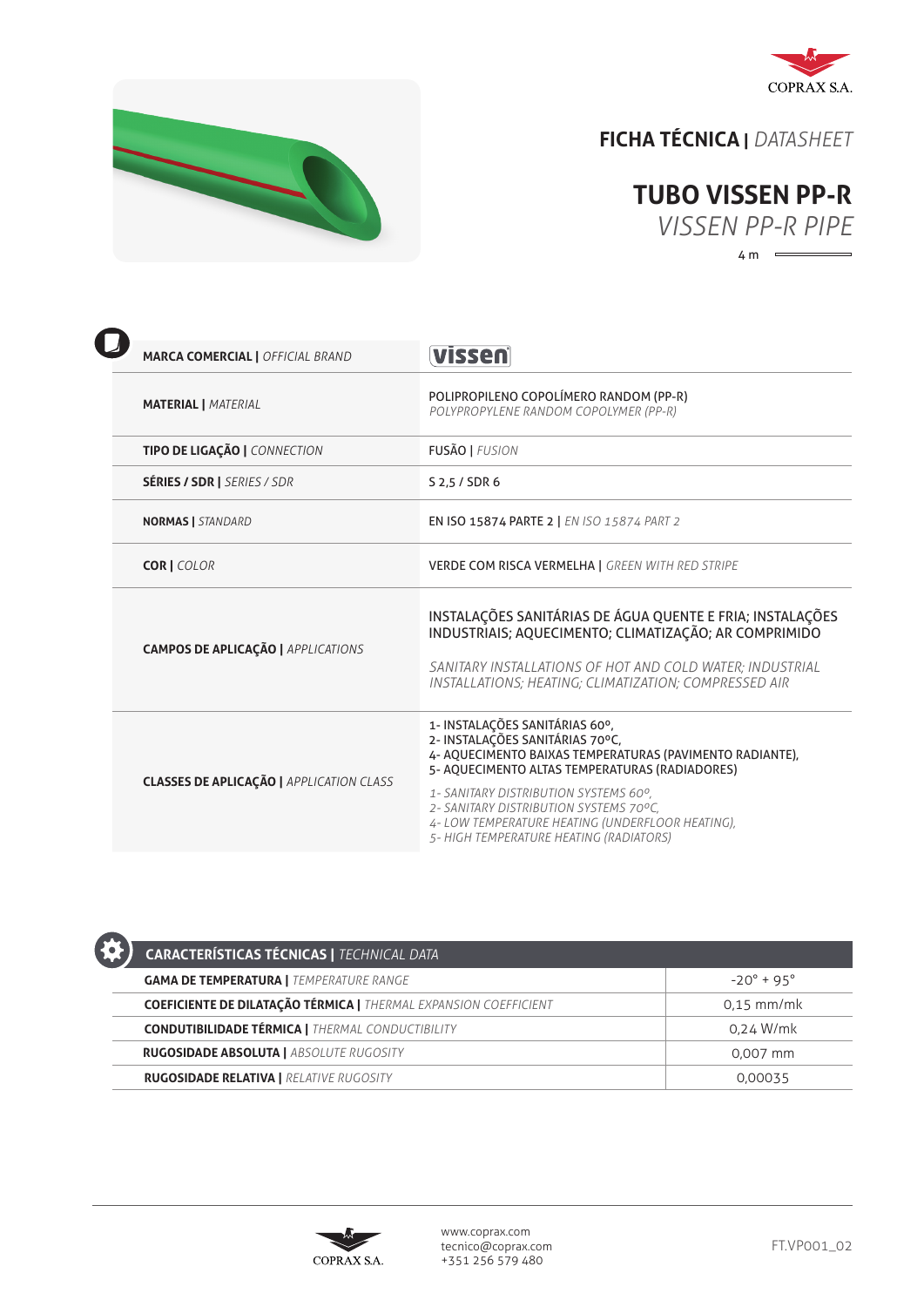



## **FICHA TÉCNICA |** *DATASHEET*



| <b>MARCA COMERCIAL   OFFICIAL BRAND</b>         | vissen                                                                                                                                                                                                                                  |
|-------------------------------------------------|-----------------------------------------------------------------------------------------------------------------------------------------------------------------------------------------------------------------------------------------|
| <b>MATERIAL   MATERIAL</b>                      | POLIPROPILENO COPOLÍMERO RANDOM (PP-R)<br>POLYPROPYLENE RANDOM COPOLYMER (PP-R)                                                                                                                                                         |
| TIPO DE LIGAÇÃO   CONNECTION                    | <b>FUSÃO   FUSION</b>                                                                                                                                                                                                                   |
| <b>SÉRIES / SDR   SERIES / SDR</b>              | S 2,5 / SDR 6                                                                                                                                                                                                                           |
| <b>NORMAS   STANDARD</b>                        | EN ISO 15874 PARTE 2   EN ISO 15874 PART 2                                                                                                                                                                                              |
| <b>COR   COLOR</b>                              | <b>VERDE COM RISCA VERMELHA   GREEN WITH RED STRIPE</b>                                                                                                                                                                                 |
| <b>CAMPOS DE APLICAÇÃO   APPLICATIONS</b>       | INSTALAÇÕES SANITÁRIAS DE ÁGUA QUENTE E FRIA; INSTALAÇÕES<br>INDUSTRIAIS; AQUECIMENTO; CLIMATIZAÇÃO; AR COMPRIMIDO<br>SANITARY INSTALLATIONS OF HOT AND COLD WATER: INDUSTRIAL<br>INSTALLATIONS; HEATING; CLIMATIZATION; COMPRESSED AIR |
| <b>CLASSES DE APLICAÇÃO   APPLICATION CLASS</b> | 1- INSTALAÇÕES SANITÁRIAS 60°,<br>2- INSTALAÇÕES SANITÁRIAS 70°C,<br>4- AQUECIMENTO BAIXAS TEMPERATURAS (PAVIMENTO RADIANTE),<br>5- AQUECIMENTO ALTAS TEMPERATURAS (RADIADORES)<br>1- SANITARY DISTRIBUTION SYSTEMS 60°,                |
|                                                 | 2- SANITARY DISTRIBUTION SYSTEMS 70°C,<br>4- LOW TEMPERATURE HEATING (UNDERFLOOR HEATING),<br>5- HIGH TEMPERATURE HEATING (RADIATORS)                                                                                                   |

| <b>CARACTERÍSTICAS TÉCNICAS   TECHNICAL DATA</b>                        |                     |
|-------------------------------------------------------------------------|---------------------|
| <b>GAMA DE TEMPERATURA   TEMPERATURE RANGE</b>                          | $-20^{\circ}$ + 95° |
| <b>COEFICIENTE DE DILATAÇÃO TÉRMICA   THERMAL EXPANSION COEFFICIENT</b> | $0.15$ mm/mk        |
| <b>CONDUTIBILIDADE TÉRMICA   THERMAL CONDUCTIBILITY</b>                 | 0.24 W/mk           |
| <b>RUGOSIDADE ABSOLUTA   ABSOLUTE RUGOSITY</b>                          | 0.007 mm            |
| <b>RUGOSIDADE RELATIVA   RELATIVE RUGOSITY</b>                          | 0.00035             |
|                                                                         |                     |

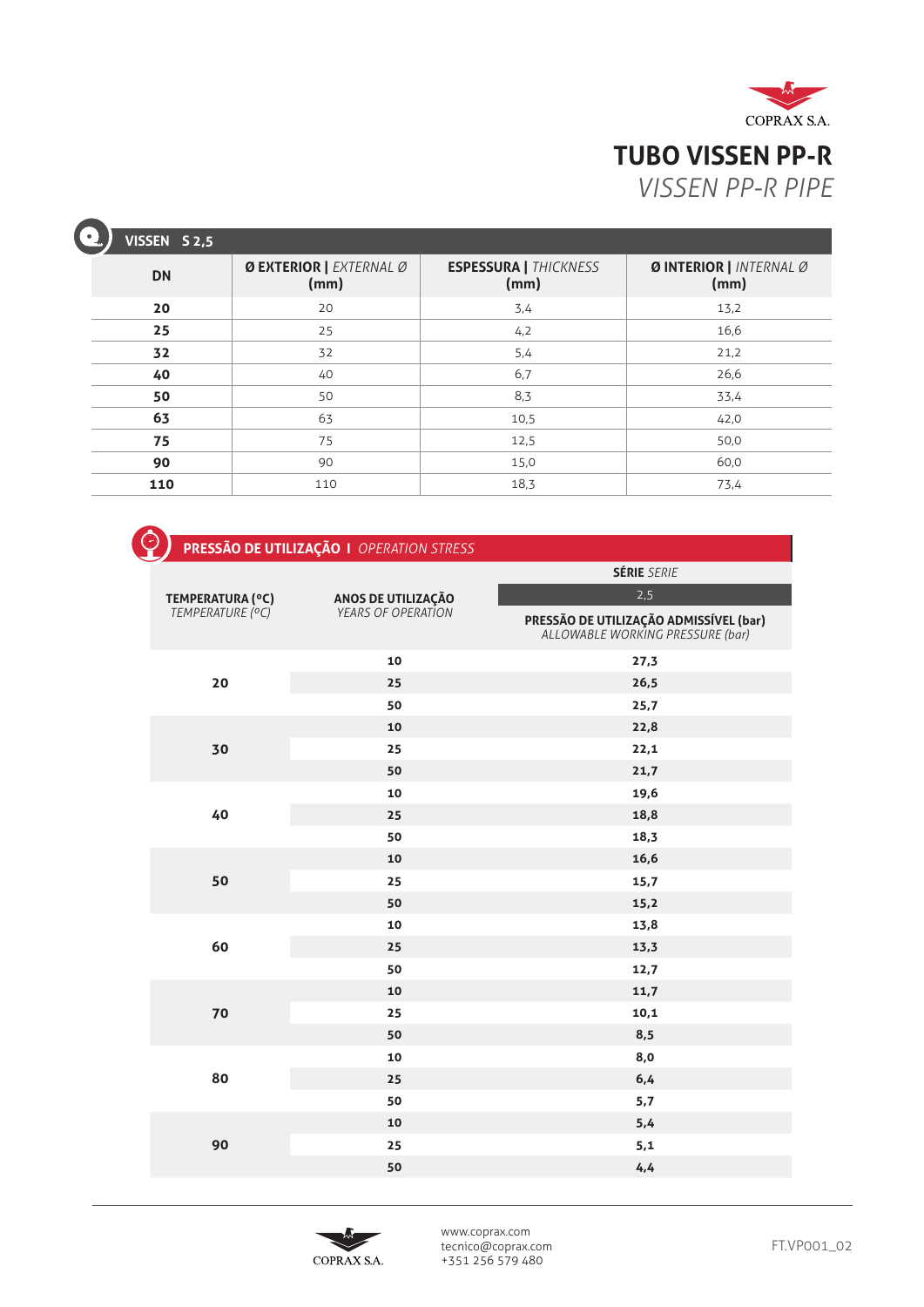

| $\bullet$<br>VISSEN S 2,5 |                                 |                                      |                                |
|---------------------------|---------------------------------|--------------------------------------|--------------------------------|
| <b>DN</b>                 | Ø EXTERIOR   EXTERNAL Ø<br>(mm) | <b>ESPESSURA   THICKNESS</b><br>(mm) | ØINTERIOR   INTERNAL Ø<br>(mm) |
| 20                        | 20                              | 3,4                                  | 13,2                           |
| 25                        | 25                              | 4,2                                  | 16,6                           |
| 32                        | 32                              | 5,4                                  | 21,2                           |
| 40                        | 40                              | 6,7                                  | 26,6                           |
| 50                        | 50                              | 8,3                                  | 33,4                           |
| 63                        | 63                              | 10,5                                 | 42,0                           |
| 75                        | 75                              | 12,5                                 | 50,0                           |
| 90                        | 90                              | 15,0                                 | 60,0                           |
| 110                       | 110                             | 18,3                                 | 73,4                           |

| <b>PRESSÃO DE UTILIZAÇÃO I</b> OPERATION STRESS |  |
|-------------------------------------------------|--|
|                                                 |  |
|                                                 |  |
|                                                 |  |

| 2,5<br><b>ANOS DE UTILIZAÇÃO</b><br><i>YEARS OF OPERATION</i><br>TEMPERATURA (°C)<br>TEMPERATURE (°C)<br><b>PRESSÃO DE UTILIZAÇÃO ADMISSÍVEL (bar)</b><br>ALLOWABLE WORKING PRESSURE (bar) |  |
|--------------------------------------------------------------------------------------------------------------------------------------------------------------------------------------------|--|
|                                                                                                                                                                                            |  |
|                                                                                                                                                                                            |  |
| 10<br>27,3                                                                                                                                                                                 |  |
| 20<br>25<br>26,5                                                                                                                                                                           |  |
| 50<br>25,7                                                                                                                                                                                 |  |
| 10<br>22,8                                                                                                                                                                                 |  |
| 22,1<br>30<br>25                                                                                                                                                                           |  |
| 50<br>21,7                                                                                                                                                                                 |  |
| 10<br>19,6                                                                                                                                                                                 |  |
| 18,8<br>40<br>25                                                                                                                                                                           |  |
| 18,3<br>50                                                                                                                                                                                 |  |
| 16,6<br>10                                                                                                                                                                                 |  |
| 50<br>25<br>15,7                                                                                                                                                                           |  |
| 50<br>15,2                                                                                                                                                                                 |  |
| 10<br>13,8                                                                                                                                                                                 |  |
| 60<br>25<br>13,3                                                                                                                                                                           |  |
| 50<br>12,7                                                                                                                                                                                 |  |
| 10<br>11,7                                                                                                                                                                                 |  |
| 70<br>10,1<br>25                                                                                                                                                                           |  |
| 8,5<br>50                                                                                                                                                                                  |  |
| 8,0<br>10                                                                                                                                                                                  |  |
| 80<br>6,4<br>25                                                                                                                                                                            |  |
| 50<br>5,7                                                                                                                                                                                  |  |
| 5,4<br>10                                                                                                                                                                                  |  |
| 90<br>25<br>5,1                                                                                                                                                                            |  |
| 50<br>4,4                                                                                                                                                                                  |  |



www.coprax.com tecnico@coprax.com +351 256 579 480